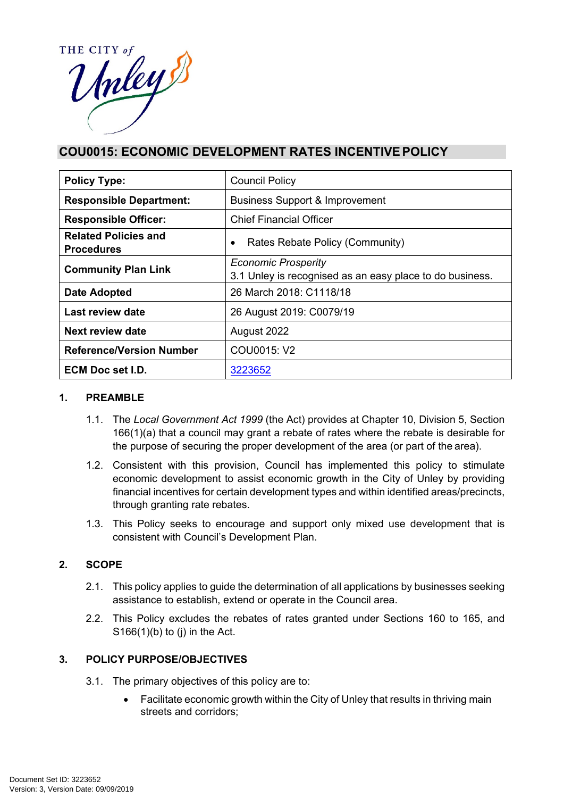

# **COU0015: ECONOMIC DEVELOPMENT RATES INCENTIVE POLICY**

| <b>Policy Type:</b>                              | <b>Council Policy</b>                                                                  |  |
|--------------------------------------------------|----------------------------------------------------------------------------------------|--|
| <b>Responsible Department:</b>                   | <b>Business Support &amp; Improvement</b>                                              |  |
| <b>Responsible Officer:</b>                      | <b>Chief Financial Officer</b>                                                         |  |
| <b>Related Policies and</b><br><b>Procedures</b> | Rates Rebate Policy (Community)<br>٠                                                   |  |
| <b>Community Plan Link</b>                       | <b>Economic Prosperity</b><br>3.1 Unley is recognised as an easy place to do business. |  |
| Date Adopted                                     | 26 March 2018: C1118/18                                                                |  |
| Last review date                                 | 26 August 2019: C0079/19                                                               |  |
| Next review date                                 | August 2022                                                                            |  |
| <b>Reference/Version Number</b>                  | COU0015: V2                                                                            |  |
| ECM Doc set I.D.                                 | 3223652                                                                                |  |

#### **1. PREAMBLE**

- 1.1. The *Local Government Act 1999* (the Act) provides at Chapter 10, Division 5, Section 166(1)(a) that a council may grant a rebate of rates where the rebate is desirable for the purpose of securing the proper development of the area (or part of the area).
- 1.2. Consistent with this provision, Council has implemented this policy to stimulate economic development to assist economic growth in the City of Unley by providing financial incentives for certain development types and within identified areas/precincts, through granting rate rebates.
- 1.3. This Policy seeks to encourage and support only mixed use development that is consistent with Council's Development Plan.

# **2. SCOPE**

- 2.1. This policy applies to guide the determination of all applications by businesses seeking assistance to establish, extend or operate in the Council area.
- 2.2. This Policy excludes the rebates of rates granted under Sections 160 to 165, and  $S166(1)(b)$  to (j) in the Act.

# **3. POLICY PURPOSE/OBJECTIVES**

- 3.1. The primary objectives of this policy are to:
	- Facilitate economic growth within the City of Unley that results in thriving main streets and corridors;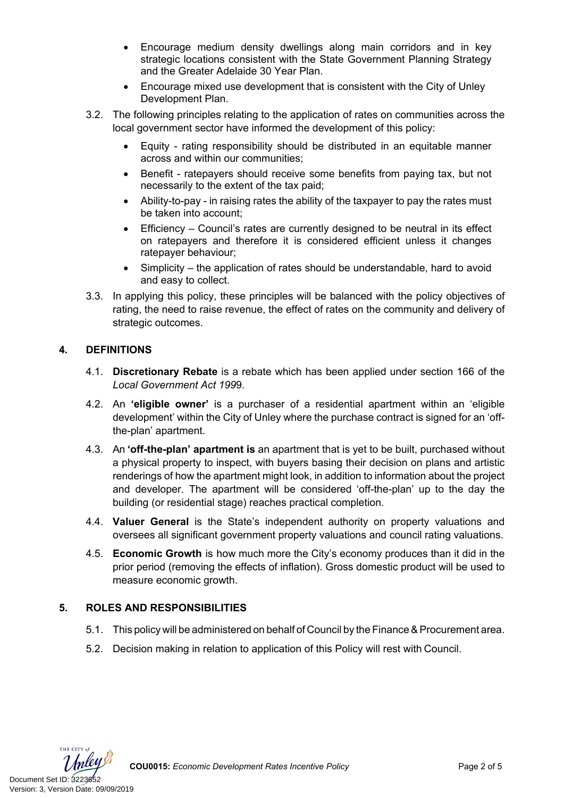- Encourage medium density dwellings along main corridors and in key strategic locations consistent with the State Government Planning Strategy and the Greater Adelaide 30 Year Plan.
- Encourage mixed use development that is consistent with the City of Unley Development Plan.
- 3.2. The following principles relating to the application of rates on communities across the local government sector have informed the development of this policy:
	- Equity rating responsibility should be distributed in an equitable manner across and within our communities;
	- Benefit ratepayers should receive some benefits from paying tax, but not necessarily to the extent of the tax paid;
	- Ability-to-pay in raising rates the ability of the taxpayer to pay the rates must be taken into account;
	- Efficiency Council's rates are currently designed to be neutral in its effect on ratepayers and therefore it is considered efficient unless it changes ratepayer behaviour;
	- Simplicity the application of rates should be understandable, hard to avoid and easy to collect.
- 3.3. In applying this policy, these principles will be balanced with the policy objectives of rating, the need to raise revenue, the effect of rates on the community and delivery of strategic outcomes.

# **4. DEFINITIONS**

- 4.1. **Discretionary Rebate** is a rebate which has been applied under section 166 of the *Local Government Act 199*9.
- 4.2. An **'eligible owner'** is a purchaser of a residential apartment within an 'eligible development' within the City of Unley where the purchase contract is signed for an 'offthe-plan' apartment.
- 4.3. An **'off-the-plan' apartment is** an apartment that is yet to be built, purchased without a physical property to inspect, with buyers basing their decision on plans and artistic renderings of how the apartment might look, in addition to information about the project and developer. The apartment will be considered 'off-the-plan' up to the day the building (or residential stage) reaches practical completion.
- 4.4. **Valuer General** is the State's independent authority on property valuations and oversees all significant government property valuations and council rating valuations.
- 4.5. **Economic Growth** is how much more the City's economy produces than it did in the prior period (removing the effects of inflation). Gross domestic product will be used to measure economic growth.

# **5. ROLES AND RESPONSIBILITIES**

- 5.1. This policy will be administered on behalf of Council by the Finance & Procurement area.
- 5.2. Decision making in relation to application of this Policy will rest with Council.

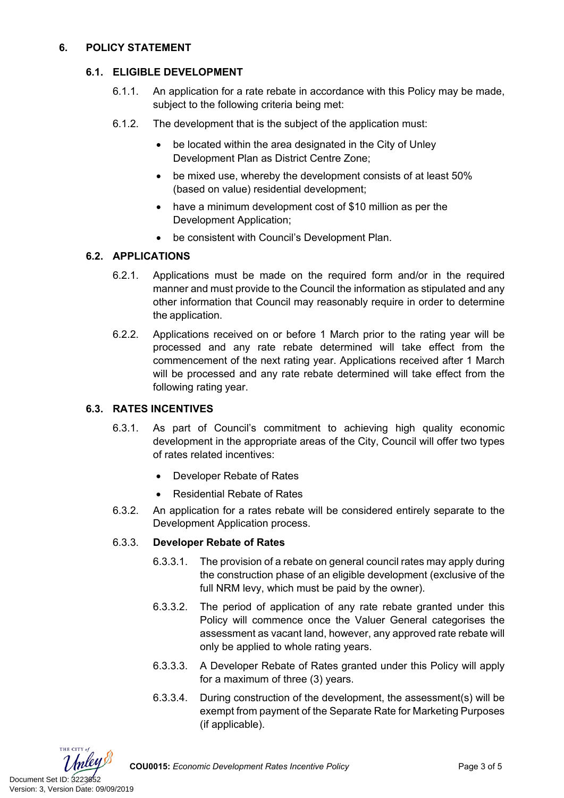#### **6. POLICY STATEMENT**

#### **6.1. ELIGIBLE DEVELOPMENT**

- 6.1.1. An application for a rate rebate in accordance with this Policy may be made, subject to the following criteria being met:
- 6.1.2. The development that is the subject of the application must:
	- be located within the area designated in the City of Unley Development Plan as District Centre Zone;
	- be mixed use, whereby the development consists of at least 50% (based on value) residential development;
	- have a minimum development cost of \$10 million as per the Development Application;
	- be consistent with Council's Development Plan.

# **6.2. APPLICATIONS**

- 6.2.1. Applications must be made on the required form and/or in the required manner and must provide to the Council the information as stipulated and any other information that Council may reasonably require in order to determine the application.
- 6.2.2. Applications received on or before 1 March prior to the rating year will be processed and any rate rebate determined will take effect from the commencement of the next rating year. Applications received after 1 March will be processed and any rate rebate determined will take effect from the following rating year.

# **6.3. RATES INCENTIVES**

- 6.3.1. As part of Council's commitment to achieving high quality economic development in the appropriate areas of the City, Council will offer two types of rates related incentives:
	- Developer Rebate of Rates
	- Residential Rebate of Rates
- 6.3.2. An application for a rates rebate will be considered entirely separate to the Development Application process.

#### 6.3.3. **Developer Rebate of Rates**

- 6.3.3.1. The provision of a rebate on general council rates may apply during the construction phase of an eligible development (exclusive of the full NRM levy, which must be paid by the owner).
- 6.3.3.2. The period of application of any rate rebate granted under this Policy will commence once the Valuer General categorises the assessment as vacant land, however, any approved rate rebate will only be applied to whole rating years.
- 6.3.3.3. A Developer Rebate of Rates granted under this Policy will apply for a maximum of three (3) years.
- 6.3.3.4. During construction of the development, the assessment(s) will be exempt from payment of the Separate Rate for Marketing Purposes (if applicable).

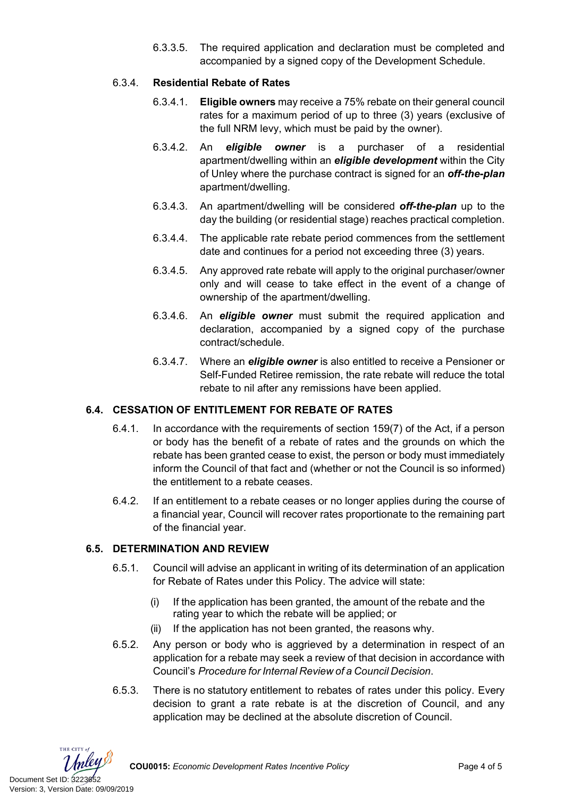6.3.3.5. The required application and declaration must be completed and accompanied by a signed copy of the Development Schedule.

# 6.3.4. **Residential Rebate of Rates**

- 6.3.4.1. **Eligible owners** may receive a 75% rebate on their general council rates for a maximum period of up to three (3) years (exclusive of the full NRM levy, which must be paid by the owner).
- 6.3.4.2. An *eligible owner* is a purchaser of a residential apartment/dwelling within an *eligible development* within the City of Unley where the purchase contract is signed for an *off-the-plan*  apartment/dwelling.
- 6.3.4.3. An apartment/dwelling will be considered *off-the-plan* up to the day the building (or residential stage) reaches practical completion.
- 6.3.4.4. The applicable rate rebate period commences from the settlement date and continues for a period not exceeding three (3) years.
- 6.3.4.5. Any approved rate rebate will apply to the original purchaser/owner only and will cease to take effect in the event of a change of ownership of the apartment/dwelling.
- 6.3.4.6. An *eligible owner* must submit the required application and declaration, accompanied by a signed copy of the purchase contract/schedule.
- 6.3.4.7. Where an *eligible owner* is also entitled to receive a Pensioner or Self-Funded Retiree remission, the rate rebate will reduce the total rebate to nil after any remissions have been applied.

# **6.4. CESSATION OF ENTITLEMENT FOR REBATE OF RATES**

- 6.4.1. In accordance with the requirements of section 159(7) of the Act, if a person or body has the benefit of a rebate of rates and the grounds on which the rebate has been granted cease to exist, the person or body must immediately inform the Council of that fact and (whether or not the Council is so informed) the entitlement to a rebate ceases.
- 6.4.2. If an entitlement to a rebate ceases or no longer applies during the course of a financial year, Council will recover rates proportionate to the remaining part of the financial year.

# **6.5. DETERMINATION AND REVIEW**

- 6.5.1. Council will advise an applicant in writing of its determination of an application for Rebate of Rates under this Policy. The advice will state:
	- (i) If the application has been granted, the amount of the rebate and the rating year to which the rebate will be applied; or
	- (ii) If the application has not been granted, the reasons why.
- 6.5.2. Any person or body who is aggrieved by a determination in respect of an application for a rebate may seek a review of that decision in accordance with Council's *Procedure for Internal Review of a Council Decision*.
- 6.5.3. There is no statutory entitlement to rebates of rates under this policy. Every decision to grant a rate rebate is at the discretion of Council, and any application may be declined at the absolute discretion of Council.